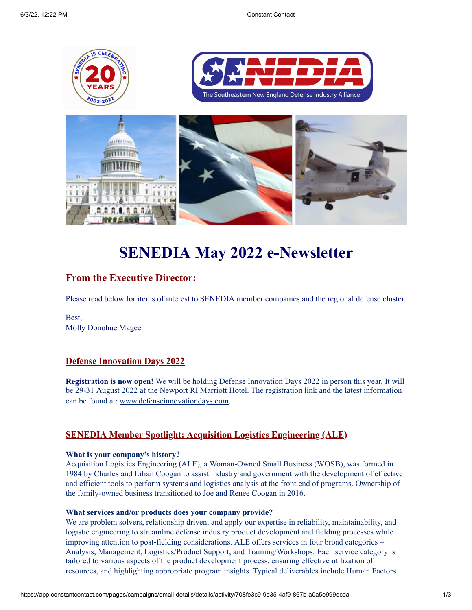

# **SENEDIA May 2022 e-Newsletter**

# **From the Executive Director:**

Please read below for items of interest to SENEDIA member companies and the regional defense cluster.

Best, Molly Donohue Magee

### **Defense Innovation Days 2022**

**Registration is now open!** We will be holding Defense Innovation Days 2022 in person this year. It will be 29-31 August 2022 at the Newport RI Marriott Hotel. The registration link and the latest information can be found at: [www.defenseinnovationdays.com.](http://www.defenseinnovationdays.com/)

### **SENEDIA Member Spotlight: Acquisition Logistics Engineering (ALE)**

### **What is your company's history?**

Acquisition Logistics Engineering (ALE), a Woman-Owned Small Business (WOSB), was formed in 1984 by Charles and Lilian Coogan to assist industry and government with the development of effective and efficient tools to perform systems and logistics analysis at the front end of programs. Ownership of the family-owned business transitioned to Joe and Renee Coogan in 2016.

### **What services and/or products does your company provide?**

We are problem solvers, relationship driven, and apply our expertise in reliability, maintainability, and logistic engineering to streamline defense industry product development and fielding processes while improving attention to post-fielding considerations. ALE offers services in four broad categories – Analysis, Management, Logistics/Product Support, and Training/Workshops. Each service category is tailored to various aspects of the product development process, ensuring effective utilization of resources, and highlighting appropriate program insights. Typical deliverables include Human Factors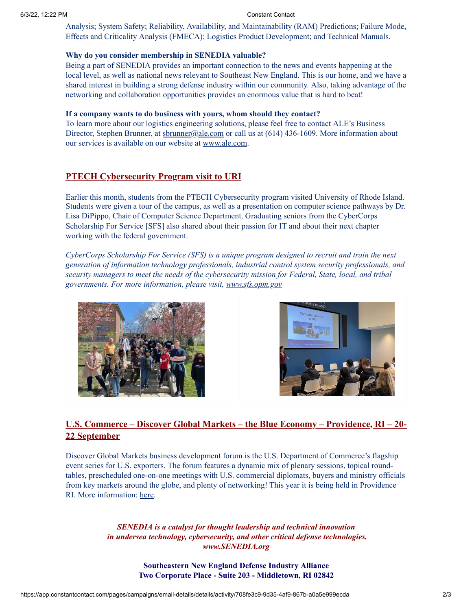Analysis; System Safety; Reliability, Availability, and Maintainability (RAM) Predictions; Failure Mode, Effects and Criticality Analysis (FMECA); Logistics Product Development; and Technical Manuals.

### **Why do you consider membership in SENEDIA valuable?**

Being a part of SENEDIA provides an important connection to the news and events happening at the local level, as well as national news relevant to Southeast New England. This is our home, and we have a shared interest in building a strong defense industry within our community. Also, taking advantage of the networking and collaboration opportunities provides an enormous value that is hard to beat!

### **If a company wants to do business with yours, whom should they contact?**

To learn more about our logistics engineering solutions, please feel free to contact ALE's Business Director, Stephen Brunner, at  $sbrunner@ale.com$  or call us at (614) 436-1609. More information about our services is available on our website at [www.ale.com.](http://www.ale.com/)

### **PTECH Cybersecurity Program visit to URI**

Earlier this month, students from the PTECH Cybersecurity program visited University of Rhode Island. Students were given a tour of the campus, as well as a presentation on computer science pathways by Dr. Lisa DiPippo, Chair of Computer Science Department. Graduating seniors from the CyberCorps Scholarship For Service [SFS] also shared about their passion for IT and about their next chapter working with the federal government.

*CyberCorps Scholarship For Service (SFS) is a unique program designed to recruit and train the next generation of information technology professionals, industrial control system security professionals, and security managers to meet the needs of the cybersecurity mission for Federal, State, local, and tribal governments. For more information, please visit, [www.sfs.opm.gov](http://www.sfs.opm.gov/)*





## **U.S. Commerce – Discover Global Markets – the Blue Economy – Providence, RI – 20- 22 September**

Discover Global Markets business development forum is the U.S. Department of Commerce's flagship event series for U.S. exporters. The forum features a dynamic mix of plenary sessions, topical roundtables, prescheduled one-on-one meetings with U.S. commercial diplomats, buyers and ministry officials from key markets around the globe, and plenty of networking! This year it is being held in Providence RI. More information: [here](https://www.senedia.org/wp-content/uploads/2022/05/DGM-Providence22_Blue-Economy_Attendee-Flyer.pdf).

> *SENEDIA is a catalyst for thought leadership and technical innovation in undersea technology, cybersecurity, and other critical defense technologies. www.SENEDIA.org*

> > **Southeastern New England Defense Industry Alliance Two Corporate Place - Suite 203 - Middletown, RI 02842**